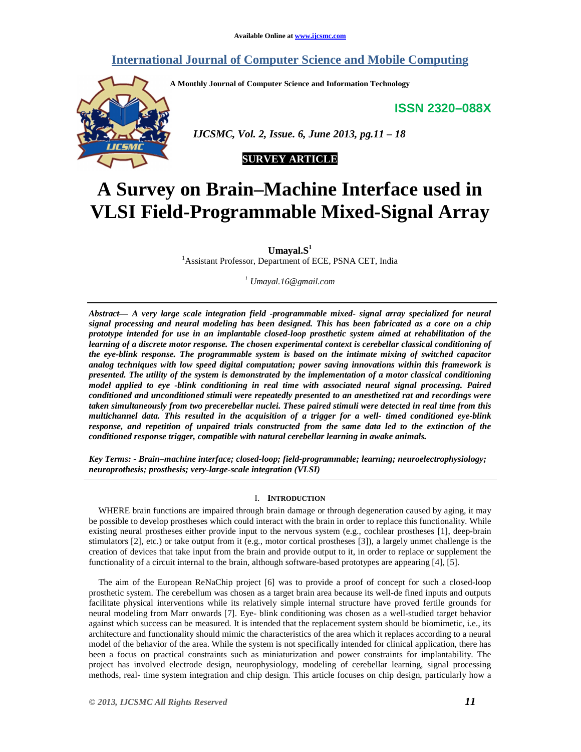# **International Journal of Computer Science and Mobile Computing**

**A Monthly Journal of Computer Science and Information Technology** 

**ISSN 2320–088X**



 *IJCSMC, Vol. 2, Issue. 6, June 2013, pg.11 – 18* 

# **SURVEY ARTICLE**

# **A Survey on Brain–Machine Interface used in VLSI Field-Programmable Mixed-Signal Array**

**Umayal.S<sup>1</sup>**

<sup>1</sup>Assistant Professor, Department of ECE, PSNA CET, India

*1 Umayal.16@gmail.com*

*Abstract— A very large scale integration field -programmable mixed- signal array specialized for neural signal processing and neural modeling has been designed. This has been fabricated as a core on a chip prototype intended for use in an implantable closed-loop prosthetic system aimed at rehabilitation of the learning of a discrete motor response. The chosen experimental context is cerebellar classical conditioning of the eye-blink response. The programmable system is based on the intimate mixing of switched capacitor analog techniques with low speed digital computation; power saving innovations within this framework is presented. The utility of the system is demonstrated by the implementation of a motor classical conditioning model applied to eye -blink conditioning in real time with associated neural signal processing. Paired conditioned and unconditioned stimuli were repeatedly presented to an anesthetized rat and recordings were taken simultaneously from two precerebellar nuclei. These paired stimuli were detected in real time from this multichannel data. This resulted in the acquisition of a trigger for a well- timed conditioned eye-blink response, and repetition of unpaired trials constructed from the same data led to the extinction of the conditioned response trigger, compatible with natural cerebellar learning in awake animals.* 

*Key Terms: - Brain–machine interface; closed-loop; field-programmable; learning; neuroelectrophysiology; neuroprothesis; prosthesis; very-large-scale integration (VLSI)* 

# I. **INTRODUCTION**

WHERE brain functions are impaired through brain damage or through degeneration caused by aging, it may be possible to develop prostheses which could interact with the brain in order to replace this functionality. While existing neural prostheses either provide input to the nervous system (e.g., cochlear prostheses [1], deep-brain stimulators [2], etc.) or take output from it (e.g., motor cortical prostheses [3]), a largely unmet challenge is the creation of devices that take input from the brain and provide output to it, in order to replace or supplement the functionality of a circuit internal to the brain, although software-based prototypes are appearing [4], [5].

The aim of the European ReNaChip project [6] was to provide a proof of concept for such a closed-loop prosthetic system. The cerebellum was chosen as a target brain area because its well-de fined inputs and outputs facilitate physical interventions while its relatively simple internal structure have proved fertile grounds for neural modeling from Marr onwards [7]. Eye- blink conditioning was chosen as a well-studied target behavior against which success can be measured. It is intended that the replacement system should be biomimetic, i.e., its architecture and functionality should mimic the characteristics of the area which it replaces according to a neural model of the behavior of the area. While the system is not specifically intended for clinical application, there has been a focus on practical constraints such as miniaturization and power constraints for implantability. The project has involved electrode design, neurophysiology, modeling of cerebellar learning, signal processing methods, real- time system integration and chip design. This article focuses on chip design, particularly how a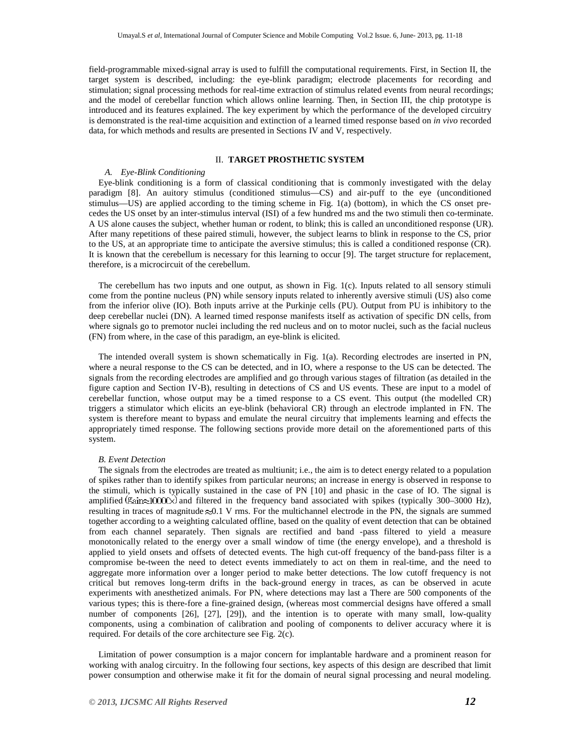field-programmable mixed-signal array is used to fulfill the computational requirements. First, in Section II, the target system is described, including: the eye-blink paradigm; electrode placements for recording and stimulation; signal processing methods for real-time extraction of stimulus related events from neural recordings; and the model of cerebellar function which allows online learning. Then, in Section III, the chip prototype is introduced and its features explained. The key experiment by which the performance of the developed circuitry is demonstrated is the real-time acquisition and extinction of a learned timed response based on *in vivo* recorded data, for which methods and results are presented in Sections IV and V, respectively.

# II. **TARGET PROSTHETIC SYSTEM**

# *A. Eye-Blink Conditioning*

Eye-blink conditioning is a form of classical conditioning that is commonly investigated with the delay paradigm [8]. An auitory stimulus (conditioned stimulus—CS) and air-puff to the eye (unconditioned stimulus—US) are applied according to the timing scheme in Fig. 1(a) (bottom), in which the CS onset precedes the US onset by an inter-stimulus interval (ISI) of a few hundred ms and the two stimuli then co-terminate. A US alone causes the subject, whether human or rodent, to blink; this is called an unconditioned response (UR). After many repetitions of these paired stimuli, however, the subject learns to blink in response to the CS, prior to the US, at an appropriate time to anticipate the aversive stimulus; this is called a conditioned response (CR). It is known that the cerebellum is necessary for this learning to occur [9]. The target structure for replacement, therefore, is a microcircuit of the cerebellum.

The cerebellum has two inputs and one output, as shown in Fig. 1(c). Inputs related to all sensory stimuli come from the pontine nucleus (PN) while sensory inputs related to inherently aversive stimuli (US) also come from the inferior olive (IO). Both inputs arrive at the Purkinje cells (PU). Output from PU is inhibitory to the deep cerebellar nuclei (DN). A learned timed response manifests itself as activation of specific DN cells, from where signals go to premotor nuclei including the red nucleus and on to motor nuclei, such as the facial nucleus (FN) from where, in the case of this paradigm, an eye-blink is elicited.

The intended overall system is shown schematically in Fig. 1(a). Recording electrodes are inserted in PN, where a neural response to the CS can be detected, and in IO, where a response to the US can be detected. The signals from the recording electrodes are amplified and go through various stages of filtration (as detailed in the figure caption and Section IV-B), resulting in detections of CS and US events. These are input to a model of cerebellar function, whose output may be a timed response to a CS event. This output (the modelled CR) triggers a stimulator which elicits an eye-blink (behavioral CR) through an electrode implanted in FN. The system is therefore meant to bypass and emulate the neural circuitry that implements learning and effects the appropriately timed response. The following sections provide more detail on the aforementioned parts of this system.

# *B. Event Detection*

The signals from the electrodes are treated as multiunit; i.e., the aim is to detect energy related to a population of spikes rather than to identify spikes from particular neurons; an increase in energy is observed in response to the stimuli, which is typically sustained in the case of PN [10] and phasic in the case of IO. The signal is amplified  $\frac{\text{d}}{\text{d}}\text{d}$  and filtered in the frequency band associated with spikes (typically 300–3000 Hz), resulting in traces of magnitude  $\approx 0.1$  V rms. For the multichannel electrode in the PN, the signals are summed together according to a weighting calculated offline, based on the quality of event detection that can be obtained from each channel separately. Then signals are rectified and band -pass filtered to yield a measure monotonically related to the energy over a small window of time (the energy envelope), and a threshold is applied to yield onsets and offsets of detected events. The high cut-off frequency of the band-pass filter is a compromise be-tween the need to detect events immediately to act on them in real-time, and the need to aggregate more information over a longer period to make better detections. The low cutoff frequency is not critical but removes long-term drifts in the back-ground energy in traces, as can be observed in acute experiments with anesthetized animals. For PN, where detections may last a There are 500 components of the various types; this is there-fore a fine-grained design, (whereas most commercial designs have offered a small number of components [26], [27], [29]), and the intention is to operate with many small, low-quality components, using a combination of calibration and pooling of components to deliver accuracy where it is required. For details of the core architecture see Fig. 2(c).

Limitation of power consumption is a major concern for implantable hardware and a prominent reason for working with analog circuitry. In the following four sections, key aspects of this design are described that limit power consumption and otherwise make it fit for the domain of neural signal processing and neural modeling.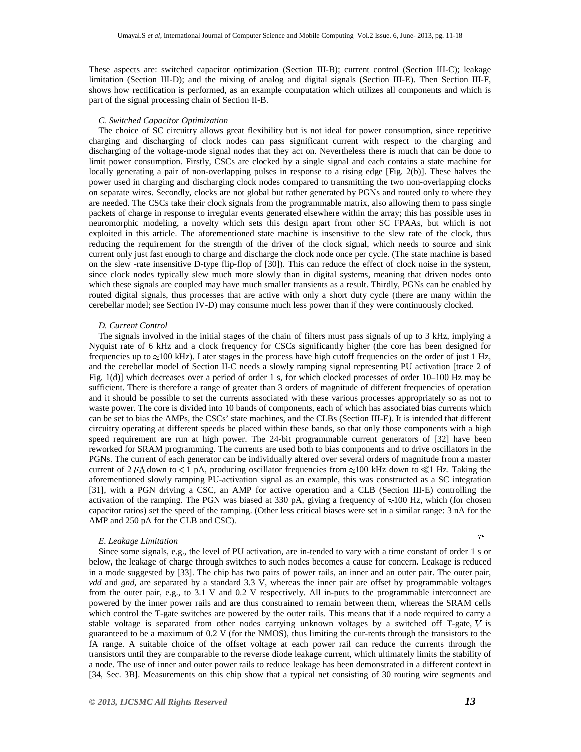These aspects are: switched capacitor optimization (Section III-B); current control (Section III-C); leakage limitation (Section III-D); and the mixing of analog and digital signals (Section III-E). Then Section III-F, shows how rectification is performed, as an example computation which utilizes all components and which is part of the signal processing chain of Section II-B.

# *C. Switched Capacitor Optimization*

The choice of SC circuitry allows great flexibility but is not ideal for power consumption, since repetitive charging and discharging of clock nodes can pass significant current with respect to the charging and discharging of the voltage-mode signal nodes that they act on. Nevertheless there is much that can be done to limit power consumption. Firstly, CSCs are clocked by a single signal and each contains a state machine for locally generating a pair of non-overlapping pulses in response to a rising edge [Fig. 2(b)]. These halves the power used in charging and discharging clock nodes compared to transmitting the two non-overlapping clocks on separate wires. Secondly, clocks are not global but rather generated by PGNs and routed only to where they are needed. The CSCs take their clock signals from the programmable matrix, also allowing them to pass single packets of charge in response to irregular events generated elsewhere within the array; this has possible uses in neuromorphic modeling, a novelty which sets this design apart from other SC FPAAs, but which is not exploited in this article. The aforementioned state machine is insensitive to the slew rate of the clock, thus reducing the requirement for the strength of the driver of the clock signal, which needs to source and sink current only just fast enough to charge and discharge the clock node once per cycle. (The state machine is based on the slew -rate insensitive D-type flip-flop of [30]). This can reduce the effect of clock noise in the system, since clock nodes typically slew much more slowly than in digital systems, meaning that driven nodes onto which these signals are coupled may have much smaller transients as a result. Thirdly, PGNs can be enabled by routed digital signals, thus processes that are active with only a short duty cycle (there are many within the cerebellar model; see Section IV-D) may consume much less power than if they were continuously clocked.

#### *D. Current Control*

The signals involved in the initial stages of the chain of filters must pass signals of up to 3 kHz, implying a Nyquist rate of 6 kHz and a clock frequency for CSCs significantly higher (the core has been designed for frequencies up to  $\approx$ 100 kHz). Later stages in the process have high cutoff frequencies on the order of just 1 Hz, and the cerebellar model of Section II-C needs a slowly ramping signal representing PU activation [trace 2 of Fig. 1(d)] which decreases over a period of order 1 s, for which clocked processes of order 10–100 Hz may be sufficient. There is therefore a range of greater than 3 orders of magnitude of different frequencies of operation and it should be possible to set the currents associated with these various processes appropriately so as not to waste power. The core is divided into 10 bands of components, each of which has associated bias currents which can be set to bias the AMPs, the CSCs' state machines, and the CLBs (Section III-E). It is intended that different circuitry operating at different speeds be placed within these bands, so that only those components with a high speed requirement are run at high power. The 24-bit programmable current generators of [32] have been reworked for SRAM programming. The currents are used both to bias components and to drive oscillators in the PGNs. The current of each generator can be individually altered over several orders of magnitude from a master current of 2  $\mu$ A down to < 1 pA, producing oscillator frequencies from  $\approx$ 100 kHz down to  $\ll$ 1 Hz. Taking the aforementioned slowly ramping PU-activation signal as an example, this was constructed as a SC integration [31], with a PGN driving a CSC, an AMP for active operation and a CLB (Section III-E) controlling the activation of the ramping. The PGN was biased at 330 pA, giving a frequency of  $\approx$ 100 Hz, which (for chosen capacitor ratios) set the speed of the ramping. (Other less critical biases were set in a similar range: 3 nA for the AMP and 250 pA for the CLB and CSC).

#### *E. Leakage Limitation*

as.

Since some signals, e.g., the level of PU activation, are in-tended to vary with a time constant of order 1 s or below, the leakage of charge through switches to such nodes becomes a cause for concern. Leakage is reduced in a mode suggested by [33]. The chip has two pairs of power rails, an inner and an outer pair. The outer pair, *vdd* and *gnd*, are separated by a standard 3.3 V, whereas the inner pair are offset by programmable voltages from the outer pair, e.g., to 3.1 V and 0.2 V respectively. All in-puts to the programmable interconnect are powered by the inner power rails and are thus constrained to remain between them, whereas the SRAM cells which control the T-gate switches are powered by the outer rails. This means that if a node required to carry a stable voltage is separated from other nodes carrying unknown voltages by a switched off  $T$ -gate,  $V$  is guaranteed to be a maximum of 0.2 V (for the NMOS), thus limiting the cur-rents through the transistors to the fA range. A suitable choice of the offset voltage at each power rail can reduce the currents through the transistors until they are comparable to the reverse diode leakage current, which ultimately limits the stability of a node. The use of inner and outer power rails to reduce leakage has been demonstrated in a different context in [34, Sec. 3B]. Measurements on this chip show that a typical net consisting of 30 routing wire segments and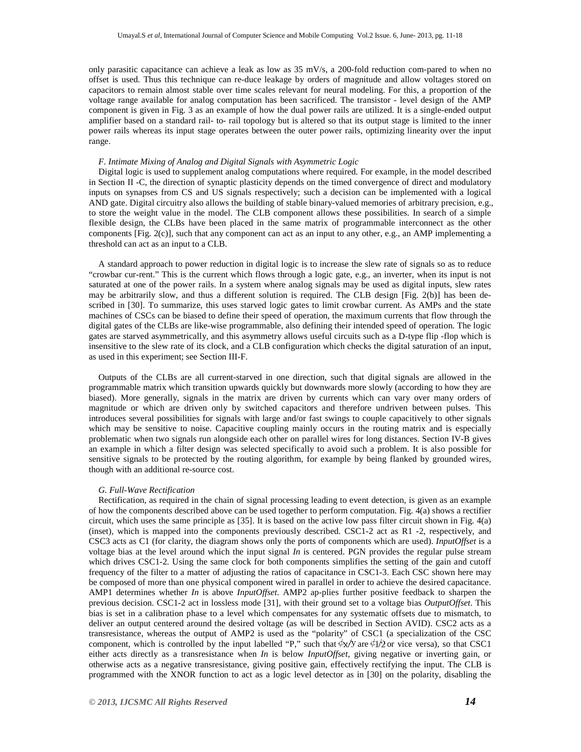only parasitic capacitance can achieve a leak as low as  $35 \text{ mV/s}$ , a 200-fold reduction com-pared to when no offset is used. Thus this technique can re-duce leakage by orders of magnitude and allow voltages stored on capacitors to remain almost stable over time scales relevant for neural modeling. For this, a proportion of the voltage range available for analog computation has been sacrificed. The transistor - level design of the AMP component is given in Fig. 3 as an example of how the dual power rails are utilized. It is a single-ended output amplifier based on a standard rail- to- rail topology but is altered so that its output stage is limited to the inner power rails whereas its input stage operates between the outer power rails, optimizing linearity over the input range.

# *F. Intimate Mixing of Analog and Digital Signals with Asymmetric Logic*

Digital logic is used to supplement analog computations where required. For example, in the model described in Section II -C, the direction of synaptic plasticity depends on the timed convergence of direct and modulatory inputs on synapses from CS and US signals respectively; such a decision can be implemented with a logical AND gate. Digital circuitry also allows the building of stable binary-valued memories of arbitrary precision, e.g., to store the weight value in the model. The CLB component allows these possibilities. In search of a simple flexible design, the CLBs have been placed in the same matrix of programmable interconnect as the other components [Fig. 2(c)], such that any component can act as an input to any other, e.g., an AMP implementing a threshold can act as an input to a CLB.

A standard approach to power reduction in digital logic is to increase the slew rate of signals so as to reduce "crowbar cur-rent." This is the current which flows through a logic gate, e.g., an inverter, when its input is not saturated at one of the power rails. In a system where analog signals may be used as digital inputs, slew rates may be arbitrarily slow, and thus a different solution is required. The CLB design [Fig. 2(b)] has been described in [30]. To summarize, this uses starved logic gates to limit crowbar current. As AMPs and the state machines of CSCs can be biased to define their speed of operation, the maximum currents that flow through the digital gates of the CLBs are like-wise programmable, also defining their intended speed of operation. The logic gates are starved asymmetrically, and this asymmetry allows useful circuits such as a D-type flip -flop which is insensitive to the slew rate of its clock, and a CLB configuration which checks the digital saturation of an input, as used in this experiment; see Section III-F.

Outputs of the CLBs are all current-starved in one direction, such that digital signals are allowed in the programmable matrix which transition upwards quickly but downwards more slowly (according to how they are biased). More generally, signals in the matrix are driven by currents which can vary over many orders of magnitude or which are driven only by switched capacitors and therefore undriven between pulses. This introduces several possibilities for signals with large and/or fast swings to couple capacitively to other signals which may be sensitive to noise. Capacitive coupling mainly occurs in the routing matrix and is especially problematic when two signals run alongside each other on parallel wires for long distances. Section IV-B gives an example in which a filter design was selected specifically to avoid such a problem. It is also possible for sensitive signals to be protected by the routing algorithm, for example by being flanked by grounded wires, though with an additional re-source cost.

## *G. Full-Wave Rectification*

Rectification, as required in the chain of signal processing leading to event detection, is given as an example of how the components described above can be used together to perform computation. Fig. 4(a) shows a rectifier circuit, which uses the same principle as [35]. It is based on the active low pass filter circuit shown in Fig. 4(a) (inset), which is mapped into the components previously described. CSC1-2 act as R1 -2, respectively, and CSC3 acts as C1 (for clarity, the diagram shows only the ports of components which are used). *InputOffset* is a voltage bias at the level around which the input signal *In* is centered. PGN provides the regular pulse stream which drives CSC1-2. Using the same clock for both components simplifies the setting of the gain and cutoff frequency of the filter to a matter of adjusting the ratios of capacitance in CSC1-3. Each CSC shown here may be composed of more than one physical component wired in parallel in order to achieve the desired capacitance. AMP1 determines whether *In* is above *InputOffset*. AMP2 ap-plies further positive feedback to sharpen the previous decision. CSC1-2 act in lossless mode [31], with their ground set to a voltage bias *OutputOffset*. This bias is set in a calibration phase to a level which compensates for any systematic offsets due to mismatch, to deliver an output centered around the desired voltage (as will be described in Section AVID). CSC2 acts as a transresistance, whereas the output of AMP2 is used as the "polarity" of CSC1 (a specialization of the CSC component, which is controlled by the input labelled "P," such that  $\phi x/y$  are  $\phi y/z$  or vice versa), so that CSC1 either acts directly as a transresistance when *In* is below *InputOffset*, giving negative or inverting gain, or otherwise acts as a negative transresistance, giving positive gain, effectively rectifying the input. The CLB is programmed with the XNOR function to act as a logic level detector as in [30] on the polarity, disabling the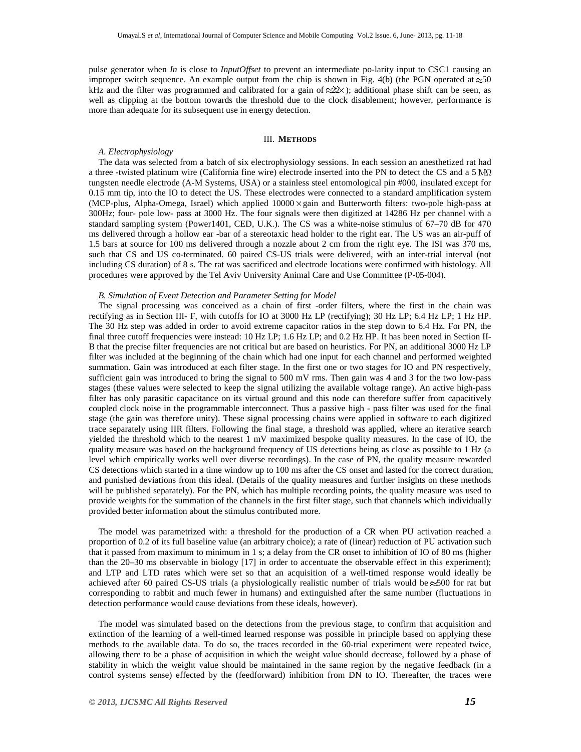pulse generator when *In* is close to *InputOffset* to prevent an intermediate po-larity input to CSC1 causing an improper switch sequence. An example output from the chip is shown in Fig. 4(b) (the PGN operated at  $\approx 50$ kHz and the filter was programmed and calibrated for a gain of  $\approx$ 2 $\times$ ); additional phase shift can be seen, as well as clipping at the bottom towards the threshold due to the clock disablement; however, performance is more than adequate for its subsequent use in energy detection.

# III. **METHODS**

# *A. Electrophysiology*

The data was selected from a batch of six electrophysiology sessions. In each session an anesthetized rat had a three -twisted platinum wire (California fine wire) electrode inserted into the PN to detect the CS and a 5  $\text{M}\Omega$ tungsten needle electrode (A-M Systems, USA) or a stainless steel entomological pin #000, insulated except for 0.15 mm tip, into the IO to detect the US. These electrodes were connected to a standard amplification system (MCP-plus, Alpha-Omega, Israel) which applied  $10000 \times$  gain and Butterworth filters: two-pole high-pass at 300Hz; four- pole low- pass at 3000 Hz. The four signals were then digitized at 14286 Hz per channel with a standard sampling system (Power1401, CED, U.K.). The CS was a white-noise stimulus of 67-70 dB for 470 ms delivered through a hollow ear -bar of a stereotaxic head holder to the right ear. The US was an air-puff of 1.5 bars at source for 100 ms delivered through a nozzle about 2 cm from the right eye. The ISI was 370 ms, such that CS and US co-terminated. 60 paired CS-US trials were delivered, with an inter-trial interval (not including CS duration) of 8 s. The rat was sacrificed and electrode locations were confirmed with histology. All procedures were approved by the Tel Aviv University Animal Care and Use Committee (P-05-004).

#### *B. Simulation of Event Detection and Parameter Setting for Model*

The signal processing was conceived as a chain of first -order filters, where the first in the chain was rectifying as in Section III- F, with cutoffs for IO at 3000 Hz LP (rectifying); 30 Hz LP; 6.4 Hz LP; 1 Hz HP. The 30 Hz step was added in order to avoid extreme capacitor ratios in the step down to 6.4 Hz. For PN, the final three cutoff frequencies were instead: 10 Hz LP; 1.6 Hz LP; and 0.2 Hz HP. It has been noted in Section II-B that the precise filter frequencies are not critical but are based on heuristics. For PN, an additional 3000 Hz LP filter was included at the beginning of the chain which had one input for each channel and performed weighted summation. Gain was introduced at each filter stage. In the first one or two stages for IO and PN respectively, sufficient gain was introduced to bring the signal to 500 mV rms. Then gain was 4 and 3 for the two low-pass stages (these values were selected to keep the signal utilizing the available voltage range). An active high-pass filter has only parasitic capacitance on its virtual ground and this node can therefore suffer from capacitively coupled clock noise in the programmable interconnect. Thus a passive high - pass filter was used for the final stage (the gain was therefore unity). These signal processing chains were applied in software to each digitized trace separately using IIR filters. Following the final stage, a threshold was applied, where an iterative search yielded the threshold which to the nearest 1 mV maximized bespoke quality measures. In the case of IO, the quality measure was based on the background frequency of US detections being as close as possible to 1 Hz (a level which empirically works well over diverse recordings). In the case of PN, the quality measure rewarded CS detections which started in a time window up to 100 ms after the CS onset and lasted for the correct duration, and punished deviations from this ideal. (Details of the quality measures and further insights on these methods will be published separately). For the PN, which has multiple recording points, the quality measure was used to provide weights for the summation of the channels in the first filter stage, such that channels which individually provided better information about the stimulus contributed more.

The model was parametrized with: a threshold for the production of a CR when PU activation reached a proportion of 0.2 of its full baseline value (an arbitrary choice); a rate of (linear) reduction of PU activation such that it passed from maximum to minimum in 1 s; a delay from the CR onset to inhibition of IO of 80 ms (higher than the 20–30 ms observable in biology [17] in order to accentuate the observable effect in this experiment); and LTP and LTD rates which were set so that an acquisition of a well-timed response would ideally be achieved after 60 paired CS-US trials (a physiologically realistic number of trials would be  $\approx$ 500 for rat but corresponding to rabbit and much fewer in humans) and extinguished after the same number (fluctuations in detection performance would cause deviations from these ideals, however).

The model was simulated based on the detections from the previous stage, to confirm that acquisition and extinction of the learning of a well-timed learned response was possible in principle based on applying these methods to the available data. To do so, the traces recorded in the 60-trial experiment were repeated twice, allowing there to be a phase of acquisition in which the weight value should decrease, followed by a phase of stability in which the weight value should be maintained in the same region by the negative feedback (in a control systems sense) effected by the (feedforward) inhibition from DN to IO. Thereafter, the traces were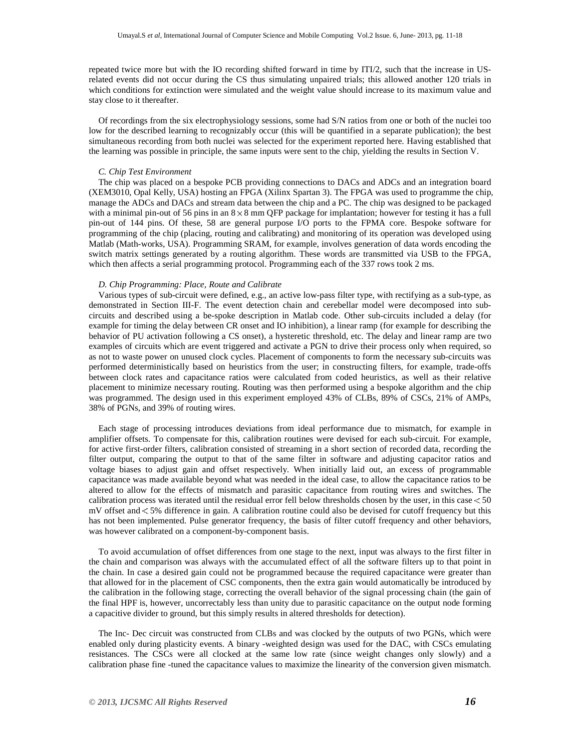repeated twice more but with the IO recording shifted forward in time by ITI/2, such that the increase in USrelated events did not occur during the CS thus simulating unpaired trials; this allowed another 120 trials in which conditions for extinction were simulated and the weight value should increase to its maximum value and stay close to it thereafter.

Of recordings from the six electrophysiology sessions, some had S/N ratios from one or both of the nuclei too low for the described learning to recognizably occur (this will be quantified in a separate publication); the best simultaneous recording from both nuclei was selected for the experiment reported here. Having established that the learning was possible in principle, the same inputs were sent to the chip, yielding the results in Section V.

# *C. Chip Test Environment*

The chip was placed on a bespoke PCB providing connections to DACs and ADCs and an integration board (XEM3010, Opal Kelly, USA) hosting an FPGA (Xilinx Spartan 3). The FPGA was used to programme the chip, manage the ADCs and DACs and stream data between the chip and a PC. The chip was designed to be packaged with a minimal pin-out of 56 pins in an  $8 \times 8$  mm QFP package for implantation; however for testing it has a full pin-out of 144 pins. Of these, 58 are general purpose I/O ports to the FPMA core. Bespoke software for programming of the chip (placing, routing and calibrating) and monitoring of its operation was developed using Matlab (Math-works, USA). Programming SRAM, for example, involves generation of data words encoding the switch matrix settings generated by a routing algorithm. These words are transmitted via USB to the FPGA, which then affects a serial programming protocol. Programming each of the 337 rows took 2 ms.

#### *D. Chip Programming: Place, Route and Calibrate*

Various types of sub-circuit were defined, e.g., an active low-pass filter type, with rectifying as a sub-type, as demonstrated in Section III-F. The event detection chain and cerebellar model were decomposed into subcircuits and described using a be-spoke description in Matlab code. Other sub-circuits included a delay (for example for timing the delay between CR onset and IO inhibition), a linear ramp (for example for describing the behavior of PU activation following a CS onset), a hysteretic threshold, etc. The delay and linear ramp are two examples of circuits which are event triggered and activate a PGN to drive their process only when required, so as not to waste power on unused clock cycles. Placement of components to form the necessary sub-circuits was performed deterministically based on heuristics from the user; in constructing filters, for example, trade-offs between clock rates and capacitance ratios were calculated from coded heuristics, as well as their relative placement to minimize necessary routing. Routing was then performed using a bespoke algorithm and the chip was programmed. The design used in this experiment employed 43% of CLBs, 89% of CSCs, 21% of AMPs, 38% of PGNs, and 39% of routing wires.

Each stage of processing introduces deviations from ideal performance due to mismatch, for example in amplifier offsets. To compensate for this, calibration routines were devised for each sub-circuit. For example, for active first-order filters, calibration consisted of streaming in a short section of recorded data, recording the filter output, comparing the output to that of the same filter in software and adjusting capacitor ratios and voltage biases to adjust gain and offset respectively. When initially laid out, an excess of programmable capacitance was made available beyond what was needed in the ideal case, to allow the capacitance ratios to be altered to allow for the effects of mismatch and parasitic capacitance from routing wires and switches. The calibration process was iterated until the residual error fell below thresholds chosen by the user, in this case  $<$  50 mV offset and 5% difference in gain. A calibration routine could also be devised for cutoff frequency but this has not been implemented. Pulse generator frequency, the basis of filter cutoff frequency and other behaviors, was however calibrated on a component-by-component basis.

To avoid accumulation of offset differences from one stage to the next, input was always to the first filter in the chain and comparison was always with the accumulated effect of all the software filters up to that point in the chain. In case a desired gain could not be programmed because the required capacitance were greater than that allowed for in the placement of CSC components, then the extra gain would automatically be introduced by the calibration in the following stage, correcting the overall behavior of the signal processing chain (the gain of the final HPF is, however, uncorrectably less than unity due to parasitic capacitance on the output node forming a capacitive divider to ground, but this simply results in altered thresholds for detection).

The Inc- Dec circuit was constructed from CLBs and was clocked by the outputs of two PGNs, which were enabled only during plasticity events. A binary -weighted design was used for the DAC, with CSCs emulating resistances. The CSCs were all clocked at the same low rate (since weight changes only slowly) and a calibration phase fine -tuned the capacitance values to maximize the linearity of the conversion given mismatch.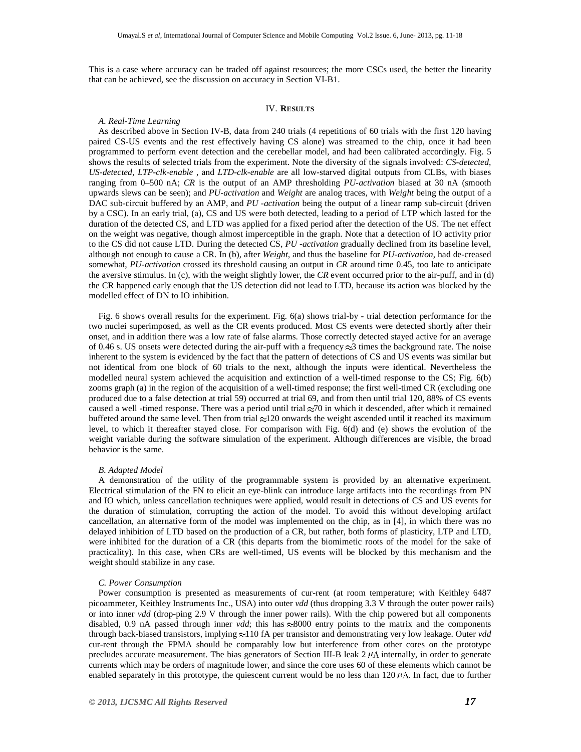This is a case where accuracy can be traded off against resources; the more CSCs used, the better the linearity that can be achieved, see the discussion on accuracy in Section VI-B1.

# IV. **RESULTS**

# *A. Real-Time Learning*

As described above in Section IV-B, data from 240 trials (4 repetitions of 60 trials with the first 120 having paired CS-US events and the rest effectively having CS alone) was streamed to the chip, once it had been programmed to perform event detection and the cerebellar model, and had been calibrated accordingly. Fig. 5 shows the results of selected trials from the experiment. Note the diversity of the signals involved: *CS-detected*, *US-detected*, *LTP-clk-enable* , and *LTD-clk-enable* are all low-starved digital outputs from CLBs, with biases ranging from 0–500 nA; *CR* is the output of an AMP thresholding *PU-activation* biased at 30 nA (smooth upwards slews can be seen); and *PU-activation* and *Weight* are analog traces, with *Weight* being the output of a DAC sub-circuit buffered by an AMP, and *PU -activation* being the output of a linear ramp sub-circuit (driven by a CSC). In an early trial, (a), CS and US were both detected, leading to a period of LTP which lasted for the duration of the detected CS, and LTD was applied for a fixed period after the detection of the US. The net effect on the weight was negative, though almost imperceptible in the graph. Note that a detection of IO activity prior to the CS did not cause LTD. During the detected CS, *PU -activation* gradually declined from its baseline level, although not enough to cause a CR. In (b), after *Weight*, and thus the baseline for *PU-activation*, had de-creased somewhat, *PU-activation* crossed its threshold causing an output in *CR* around time 0.45, too late to anticipate the aversive stimulus. In (c), with the weight slightly lower, the *CR* event occurred prior to the air-puff, and in (d) the CR happened early enough that the US detection did not lead to LTD, because its action was blocked by the modelled effect of DN to IO inhibition.

Fig. 6 shows overall results for the experiment. Fig. 6(a) shows trial-by - trial detection performance for the two nuclei superimposed, as well as the CR events produced. Most CS events were detected shortly after their onset, and in addition there was a low rate of false alarms. Those correctly detected stayed active for an average of 0.46 s. US onsets were detected during the air-puff with a frequency  $\approx$ 3 times the background rate. The noise inherent to the system is evidenced by the fact that the pattern of detections of CS and US events was similar but not identical from one block of 60 trials to the next, although the inputs were identical. Nevertheless the modelled neural system achieved the acquisition and extinction of a well-timed response to the CS; Fig. 6(b) zooms graph (a) in the region of the acquisition of a well-timed response; the first well-timed CR (excluding one produced due to a false detection at trial 59) occurred at trial 69, and from then until trial 120, 88% of CS events caused a well -timed response. There was a period until trial  $\approx$ 70 in which it descended, after which it remained buffeted around the same level. Then from trial  $\approx$ 120 onwards the weight ascended until it reached its maximum level, to which it thereafter stayed close. For comparison with Fig. 6(d) and (e) shows the evolution of the weight variable during the software simulation of the experiment. Although differences are visible, the broad behavior is the same.

## *B. Adapted Model*

A demonstration of the utility of the programmable system is provided by an alternative experiment. Electrical stimulation of the FN to elicit an eye-blink can introduce large artifacts into the recordings from PN and IO which, unless cancellation techniques were applied, would result in detections of CS and US events for the duration of stimulation, corrupting the action of the model. To avoid this without developing artifact cancellation, an alternative form of the model was implemented on the chip, as in [4], in which there was no delayed inhibition of LTD based on the production of a CR, but rather, both forms of plasticity, LTP and LTD, were inhibited for the duration of a CR (this departs from the biomimetic roots of the model for the sake of practicality). In this case, when CRs are well-timed, US events will be blocked by this mechanism and the weight should stabilize in any case.

#### *C. Power Consumption*

Power consumption is presented as measurements of cur-rent (at room temperature; with Keithley 6487 picoammeter, Keithley Instruments Inc., USA) into outer *vdd* (thus dropping 3.3 V through the outer power rails) or into inner *vdd* (drop-ping 2.9 V through the inner power rails). With the chip powered but all components disabled, 0.9 nA passed through inner *vdd*; this has  $\approx 8000$  entry points to the matrix and the components through back-biased transistors, implying  $\approx$ 10 fA per transistor and demonstrating very low leakage. Outer *vdd* cur-rent through the FPMA should be comparably low but interference from other cores on the prototype precludes accurate measurement. The bias generators of Section III-B leak  $2 \mu\Lambda$  internally, in order to generate currents which may be orders of magnitude lower, and since the core uses 60 of these elements which cannot be enabled separately in this prototype, the quiescent current would be no less than  $120 \mu A$ . In fact, due to further